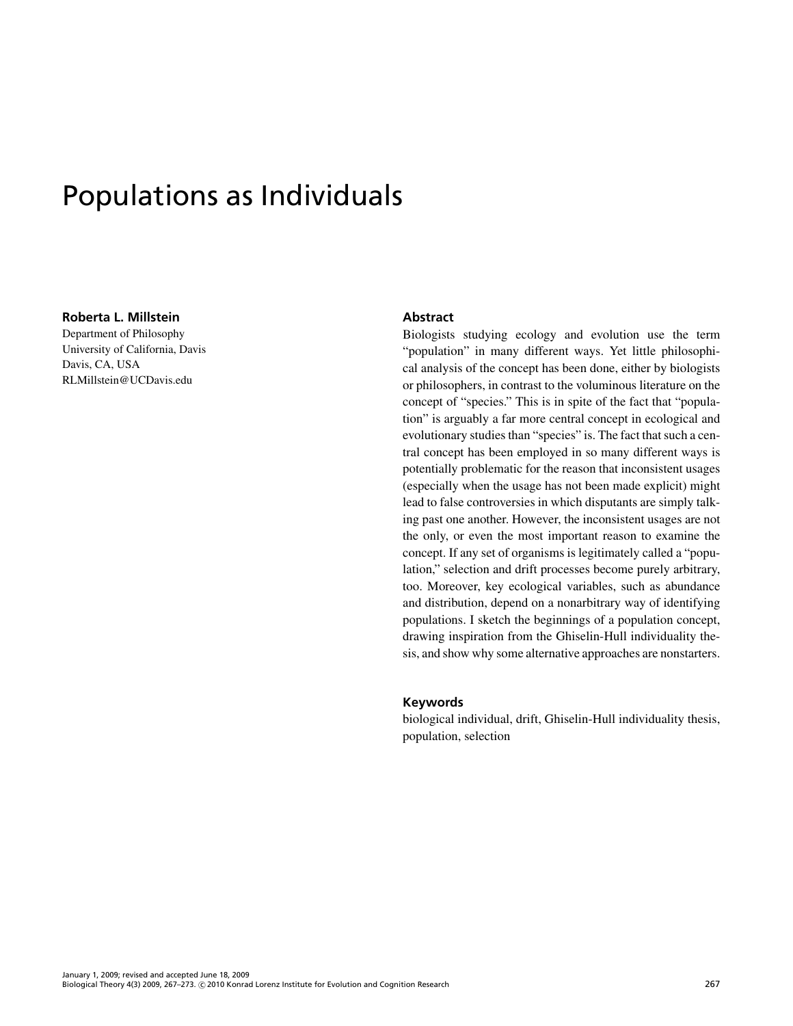# Populations as Individuals

**Roberta L. Millstein**

Department of Philosophy University of California, Davis Davis, CA, USA RLMillstein@UCDavis.edu

## **Abstract**

Biologists studying ecology and evolution use the term "population" in many different ways. Yet little philosophical analysis of the concept has been done, either by biologists or philosophers, in contrast to the voluminous literature on the concept of "species." This is in spite of the fact that "population" is arguably a far more central concept in ecological and evolutionary studies than "species" is. The fact that such a central concept has been employed in so many different ways is potentially problematic for the reason that inconsistent usages (especially when the usage has not been made explicit) might lead to false controversies in which disputants are simply talking past one another. However, the inconsistent usages are not the only, or even the most important reason to examine the concept. If any set of organisms is legitimately called a "population," selection and drift processes become purely arbitrary, too. Moreover, key ecological variables, such as abundance and distribution, depend on a nonarbitrary way of identifying populations. I sketch the beginnings of a population concept, drawing inspiration from the Ghiselin-Hull individuality thesis, and show why some alternative approaches are nonstarters.

### **Keywords**

biological individual, drift, Ghiselin-Hull individuality thesis, population, selection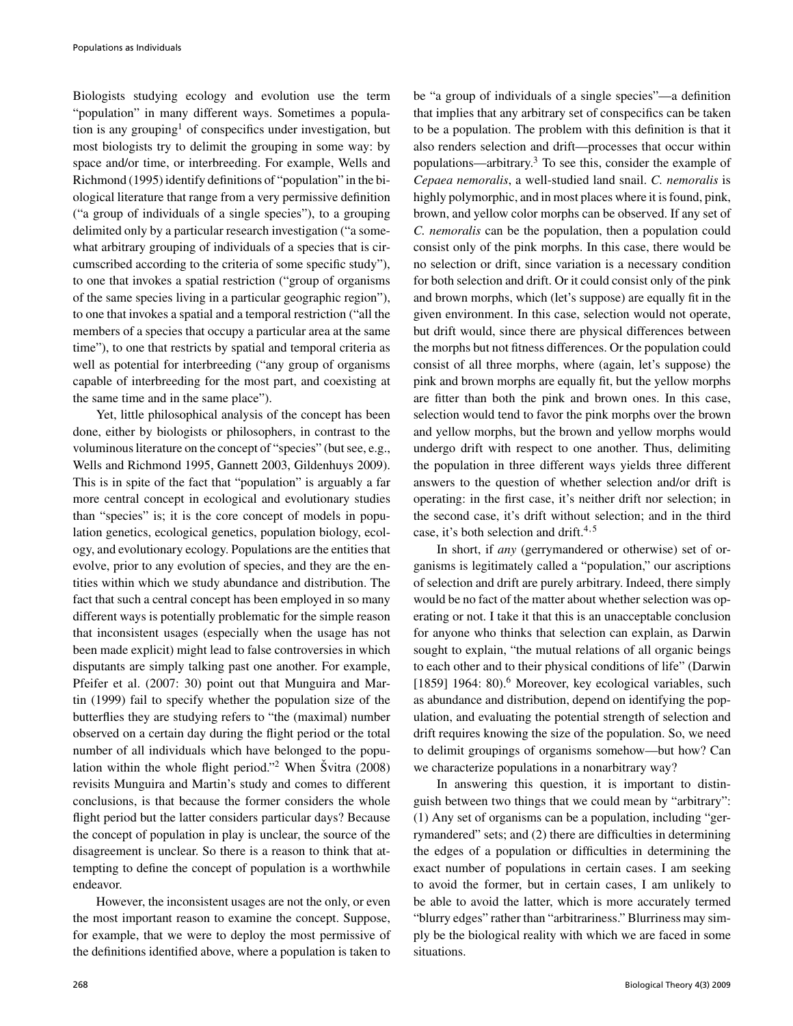Biologists studying ecology and evolution use the term "population" in many different ways. Sometimes a population is any grouping<sup>1</sup> of conspecifics under investigation, but most biologists try to delimit the grouping in some way: by space and/or time, or interbreeding. For example, Wells and Richmond (1995) identify definitions of "population" in the biological literature that range from a very permissive definition ("a group of individuals of a single species"), to a grouping delimited only by a particular research investigation ("a somewhat arbitrary grouping of individuals of a species that is circumscribed according to the criteria of some specific study"), to one that invokes a spatial restriction ("group of organisms of the same species living in a particular geographic region"), to one that invokes a spatial and a temporal restriction ("all the members of a species that occupy a particular area at the same time"), to one that restricts by spatial and temporal criteria as well as potential for interbreeding ("any group of organisms capable of interbreeding for the most part, and coexisting at the same time and in the same place").

Yet, little philosophical analysis of the concept has been done, either by biologists or philosophers, in contrast to the voluminous literature on the concept of "species" (but see, e.g., Wells and Richmond 1995, Gannett 2003, Gildenhuys 2009). This is in spite of the fact that "population" is arguably a far more central concept in ecological and evolutionary studies than "species" is; it is the core concept of models in population genetics, ecological genetics, population biology, ecology, and evolutionary ecology. Populations are the entities that evolve, prior to any evolution of species, and they are the entities within which we study abundance and distribution. The fact that such a central concept has been employed in so many different ways is potentially problematic for the simple reason that inconsistent usages (especially when the usage has not been made explicit) might lead to false controversies in which disputants are simply talking past one another. For example, Pfeifer et al. (2007: 30) point out that Munguira and Martin (1999) fail to specify whether the population size of the butterflies they are studying refers to "the (maximal) number observed on a certain day during the flight period or the total number of all individuals which have belonged to the population within the whole flight period."<sup>2</sup> When Švitra  $(2008)$ revisits Munguira and Martin's study and comes to different conclusions, is that because the former considers the whole flight period but the latter considers particular days? Because the concept of population in play is unclear, the source of the disagreement is unclear. So there is a reason to think that attempting to define the concept of population is a worthwhile endeavor.

However, the inconsistent usages are not the only, or even the most important reason to examine the concept. Suppose, for example, that we were to deploy the most permissive of the definitions identified above, where a population is taken to be "a group of individuals of a single species"—a definition that implies that any arbitrary set of conspecifics can be taken to be a population. The problem with this definition is that it also renders selection and drift—processes that occur within populations—arbitrary.3 To see this, consider the example of *Cepaea nemoralis*, a well-studied land snail. *C. nemoralis* is highly polymorphic, and in most places where it is found, pink, brown, and yellow color morphs can be observed. If any set of *C. nemoralis* can be the population, then a population could consist only of the pink morphs. In this case, there would be no selection or drift, since variation is a necessary condition for both selection and drift. Or it could consist only of the pink and brown morphs, which (let's suppose) are equally fit in the given environment. In this case, selection would not operate, but drift would, since there are physical differences between the morphs but not fitness differences. Or the population could consist of all three morphs, where (again, let's suppose) the pink and brown morphs are equally fit, but the yellow morphs are fitter than both the pink and brown ones. In this case, selection would tend to favor the pink morphs over the brown and yellow morphs, but the brown and yellow morphs would undergo drift with respect to one another. Thus, delimiting the population in three different ways yields three different answers to the question of whether selection and/or drift is operating: in the first case, it's neither drift nor selection; in the second case, it's drift without selection; and in the third case, it's both selection and drift.<sup>4,5</sup>

In short, if *any* (gerrymandered or otherwise) set of organisms is legitimately called a "population," our ascriptions of selection and drift are purely arbitrary. Indeed, there simply would be no fact of the matter about whether selection was operating or not. I take it that this is an unacceptable conclusion for anyone who thinks that selection can explain, as Darwin sought to explain, "the mutual relations of all organic beings to each other and to their physical conditions of life" (Darwin [1859] 1964: 80).<sup>6</sup> Moreover, key ecological variables, such as abundance and distribution, depend on identifying the population, and evaluating the potential strength of selection and drift requires knowing the size of the population. So, we need to delimit groupings of organisms somehow—but how? Can we characterize populations in a nonarbitrary way?

In answering this question, it is important to distinguish between two things that we could mean by "arbitrary": (1) Any set of organisms can be a population, including "gerrymandered" sets; and (2) there are difficulties in determining the edges of a population or difficulties in determining the exact number of populations in certain cases. I am seeking to avoid the former, but in certain cases, I am unlikely to be able to avoid the latter, which is more accurately termed "blurry edges" rather than "arbitrariness." Blurriness may simply be the biological reality with which we are faced in some situations.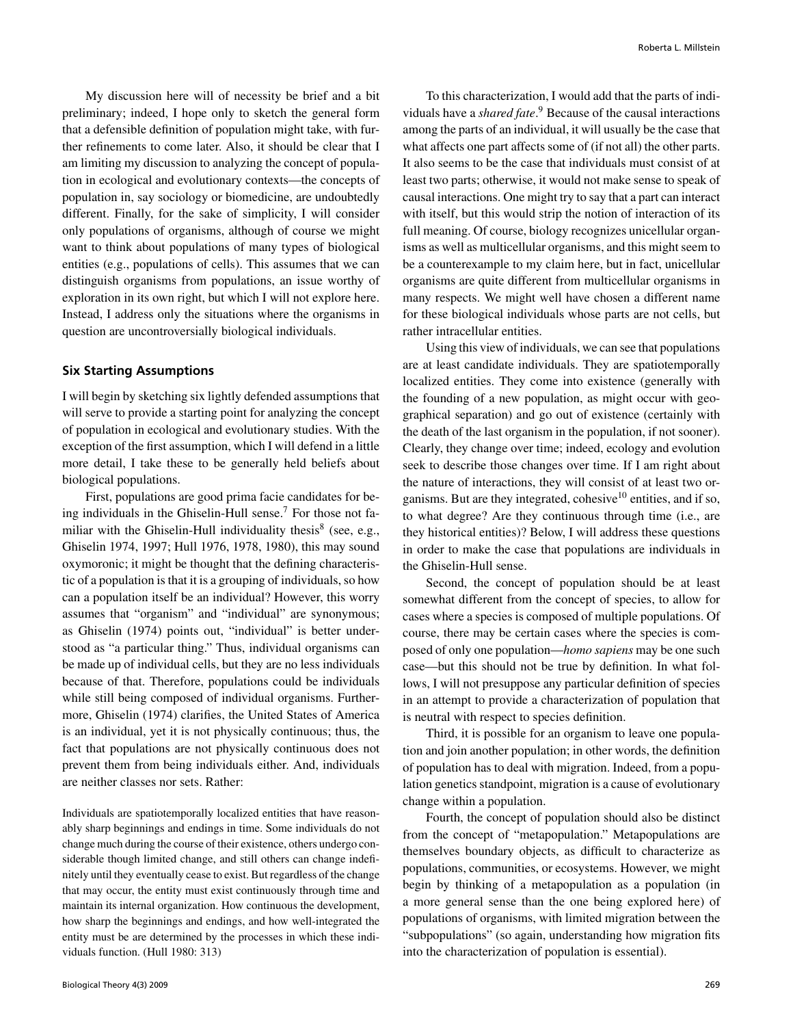Roberta L. Millstein

My discussion here will of necessity be brief and a bit preliminary; indeed, I hope only to sketch the general form that a defensible definition of population might take, with further refinements to come later. Also, it should be clear that I am limiting my discussion to analyzing the concept of population in ecological and evolutionary contexts—the concepts of population in, say sociology or biomedicine, are undoubtedly different. Finally, for the sake of simplicity, I will consider only populations of organisms, although of course we might want to think about populations of many types of biological entities (e.g., populations of cells). This assumes that we can distinguish organisms from populations, an issue worthy of exploration in its own right, but which I will not explore here. Instead, I address only the situations where the organisms in question are uncontroversially biological individuals.

## **Six Starting Assumptions**

I will begin by sketching six lightly defended assumptions that will serve to provide a starting point for analyzing the concept of population in ecological and evolutionary studies. With the exception of the first assumption, which I will defend in a little more detail, I take these to be generally held beliefs about biological populations.

First, populations are good prima facie candidates for being individuals in the Ghiselin-Hull sense.<sup>7</sup> For those not familiar with the Ghiselin-Hull individuality thesis $8$  (see, e.g., Ghiselin 1974, 1997; Hull 1976, 1978, 1980), this may sound oxymoronic; it might be thought that the defining characteristic of a population is that it is a grouping of individuals, so how can a population itself be an individual? However, this worry assumes that "organism" and "individual" are synonymous; as Ghiselin (1974) points out, "individual" is better understood as "a particular thing." Thus, individual organisms can be made up of individual cells, but they are no less individuals because of that. Therefore, populations could be individuals while still being composed of individual organisms. Furthermore, Ghiselin (1974) clarifies, the United States of America is an individual, yet it is not physically continuous; thus, the fact that populations are not physically continuous does not prevent them from being individuals either. And, individuals are neither classes nor sets. Rather:

Individuals are spatiotemporally localized entities that have reasonably sharp beginnings and endings in time. Some individuals do not change much during the course of their existence, others undergo considerable though limited change, and still others can change indefinitely until they eventually cease to exist. But regardless of the change that may occur, the entity must exist continuously through time and maintain its internal organization. How continuous the development, how sharp the beginnings and endings, and how well-integrated the entity must be are determined by the processes in which these individuals function. (Hull 1980: 313)

viduals have a *shared fate*. <sup>9</sup> Because of the causal interactions among the parts of an individual, it will usually be the case that what affects one part affects some of (if not all) the other parts. It also seems to be the case that individuals must consist of at least two parts; otherwise, it would not make sense to speak of causal interactions. One might try to say that a part can interact with itself, but this would strip the notion of interaction of its full meaning. Of course, biology recognizes unicellular organisms as well as multicellular organisms, and this might seem to be a counterexample to my claim here, but in fact, unicellular organisms are quite different from multicellular organisms in many respects. We might well have chosen a different name for these biological individuals whose parts are not cells, but rather intracellular entities.

To this characterization, I would add that the parts of indi-

Using this view of individuals, we can see that populations are at least candidate individuals. They are spatiotemporally localized entities. They come into existence (generally with the founding of a new population, as might occur with geographical separation) and go out of existence (certainly with the death of the last organism in the population, if not sooner). Clearly, they change over time; indeed, ecology and evolution seek to describe those changes over time. If I am right about the nature of interactions, they will consist of at least two organisms. But are they integrated, cohesive<sup>10</sup> entities, and if so, to what degree? Are they continuous through time (i.e., are they historical entities)? Below, I will address these questions in order to make the case that populations are individuals in the Ghiselin-Hull sense.

Second, the concept of population should be at least somewhat different from the concept of species, to allow for cases where a species is composed of multiple populations. Of course, there may be certain cases where the species is composed of only one population—*homo sapiens* may be one such case—but this should not be true by definition. In what follows, I will not presuppose any particular definition of species in an attempt to provide a characterization of population that is neutral with respect to species definition.

Third, it is possible for an organism to leave one population and join another population; in other words, the definition of population has to deal with migration. Indeed, from a population genetics standpoint, migration is a cause of evolutionary change within a population.

Fourth, the concept of population should also be distinct from the concept of "metapopulation." Metapopulations are themselves boundary objects, as difficult to characterize as populations, communities, or ecosystems. However, we might begin by thinking of a metapopulation as a population (in a more general sense than the one being explored here) of populations of organisms, with limited migration between the "subpopulations" (so again, understanding how migration fits into the characterization of population is essential).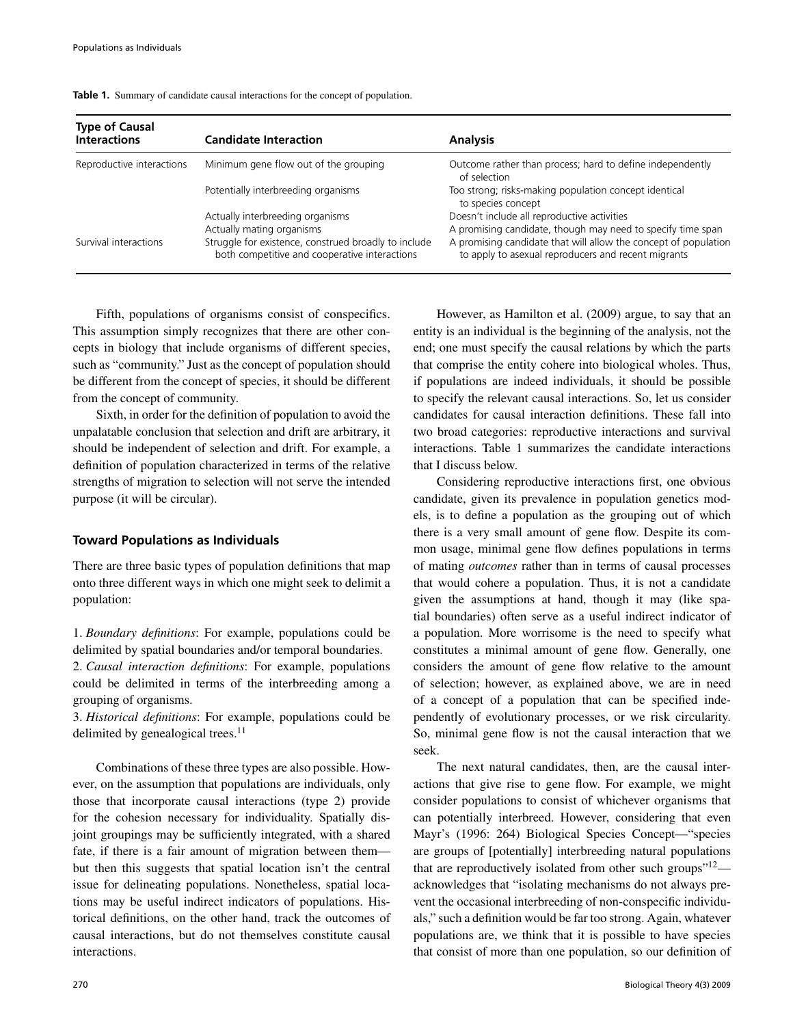| <b>Type of Causal</b><br><b>Interactions</b> | <b>Candidate Interaction</b>                                                                          | <b>Analysis</b>                                                                                                        |
|----------------------------------------------|-------------------------------------------------------------------------------------------------------|------------------------------------------------------------------------------------------------------------------------|
| Reproductive interactions                    | Minimum gene flow out of the grouping                                                                 | Outcome rather than process; hard to define independently<br>of selection                                              |
|                                              | Potentially interbreeding organisms                                                                   | Too strong; risks-making population concept identical<br>to species concept                                            |
|                                              | Actually interbreeding organisms                                                                      | Doesn't include all reproductive activities                                                                            |
|                                              | Actually mating organisms                                                                             | A promising candidate, though may need to specify time span                                                            |
| Survival interactions                        | Struggle for existence, construed broadly to include<br>both competitive and cooperative interactions | A promising candidate that will allow the concept of population<br>to apply to asexual reproducers and recent migrants |

**Table 1.** Summary of candidate causal interactions for the concept of population.

Fifth, populations of organisms consist of conspecifics. This assumption simply recognizes that there are other concepts in biology that include organisms of different species, such as "community." Just as the concept of population should be different from the concept of species, it should be different from the concept of community.

Sixth, in order for the definition of population to avoid the unpalatable conclusion that selection and drift are arbitrary, it should be independent of selection and drift. For example, a definition of population characterized in terms of the relative strengths of migration to selection will not serve the intended purpose (it will be circular).

## **Toward Populations as Individuals**

There are three basic types of population definitions that map onto three different ways in which one might seek to delimit a population:

1. *Boundary definitions*: For example, populations could be delimited by spatial boundaries and/or temporal boundaries.

2. *Causal interaction definitions*: For example, populations could be delimited in terms of the interbreeding among a grouping of organisms.

3. *Historical definitions*: For example, populations could be delimited by genealogical trees.<sup>11</sup>

Combinations of these three types are also possible. However, on the assumption that populations are individuals, only those that incorporate causal interactions (type 2) provide for the cohesion necessary for individuality. Spatially disjoint groupings may be sufficiently integrated, with a shared fate, if there is a fair amount of migration between them but then this suggests that spatial location isn't the central issue for delineating populations. Nonetheless, spatial locations may be useful indirect indicators of populations. Historical definitions, on the other hand, track the outcomes of causal interactions, but do not themselves constitute causal interactions.

However, as Hamilton et al. (2009) argue, to say that an entity is an individual is the beginning of the analysis, not the end; one must specify the causal relations by which the parts that comprise the entity cohere into biological wholes. Thus, if populations are indeed individuals, it should be possible to specify the relevant causal interactions. So, let us consider candidates for causal interaction definitions. These fall into two broad categories: reproductive interactions and survival interactions. Table 1 summarizes the candidate interactions that I discuss below.

Considering reproductive interactions first, one obvious candidate, given its prevalence in population genetics models, is to define a population as the grouping out of which there is a very small amount of gene flow. Despite its common usage, minimal gene flow defines populations in terms of mating *outcomes* rather than in terms of causal processes that would cohere a population. Thus, it is not a candidate given the assumptions at hand, though it may (like spatial boundaries) often serve as a useful indirect indicator of a population. More worrisome is the need to specify what constitutes a minimal amount of gene flow. Generally, one considers the amount of gene flow relative to the amount of selection; however, as explained above, we are in need of a concept of a population that can be specified independently of evolutionary processes, or we risk circularity. So, minimal gene flow is not the causal interaction that we seek.

The next natural candidates, then, are the causal interactions that give rise to gene flow. For example, we might consider populations to consist of whichever organisms that can potentially interbreed. However, considering that even Mayr's (1996: 264) Biological Species Concept—"species are groups of [potentially] interbreeding natural populations that are reproductively isolated from other such groups"<sup>12</sup> acknowledges that "isolating mechanisms do not always prevent the occasional interbreeding of non-conspecific individuals," such a definition would be far too strong. Again, whatever populations are, we think that it is possible to have species that consist of more than one population, so our definition of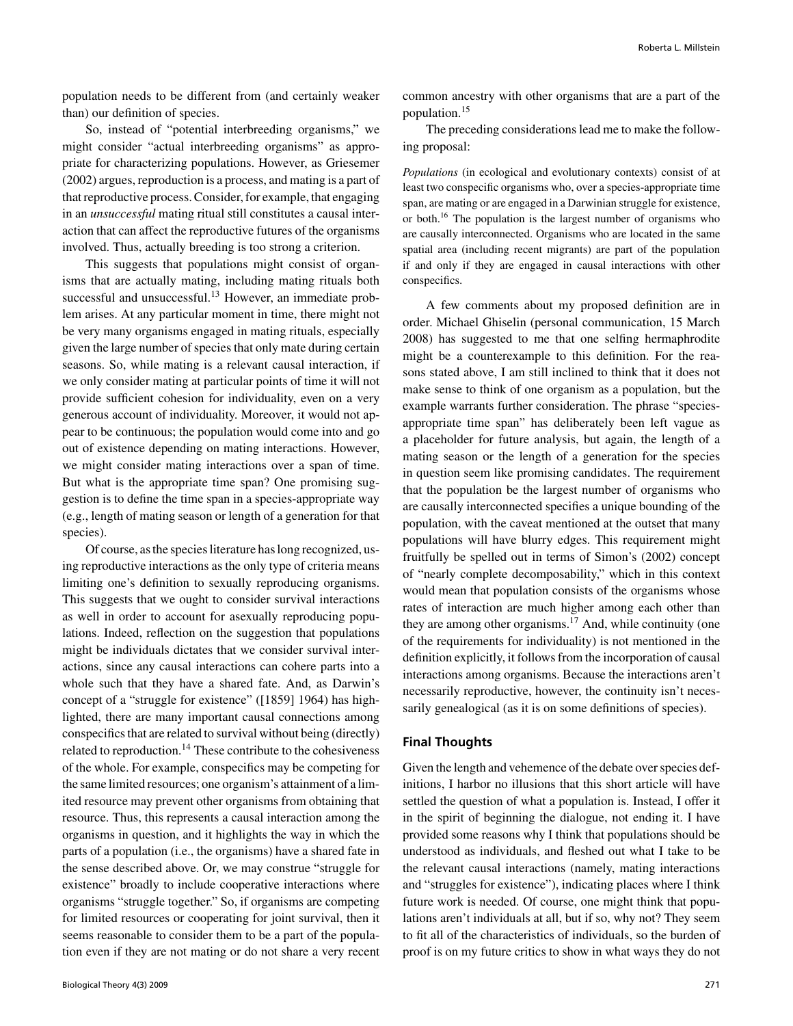population needs to be different from (and certainly weaker than) our definition of species.

So, instead of "potential interbreeding organisms," we might consider "actual interbreeding organisms" as appropriate for characterizing populations. However, as Griesemer (2002) argues, reproduction is a process, and mating is a part of that reproductive process. Consider, for example, that engaging in an *unsuccessful* mating ritual still constitutes a causal interaction that can affect the reproductive futures of the organisms involved. Thus, actually breeding is too strong a criterion.

This suggests that populations might consist of organisms that are actually mating, including mating rituals both successful and unsuccessful.<sup>13</sup> However, an immediate problem arises. At any particular moment in time, there might not be very many organisms engaged in mating rituals, especially given the large number of species that only mate during certain seasons. So, while mating is a relevant causal interaction, if we only consider mating at particular points of time it will not provide sufficient cohesion for individuality, even on a very generous account of individuality. Moreover, it would not appear to be continuous; the population would come into and go out of existence depending on mating interactions. However, we might consider mating interactions over a span of time. But what is the appropriate time span? One promising suggestion is to define the time span in a species-appropriate way (e.g., length of mating season or length of a generation for that species).

Of course, as the species literature has long recognized, using reproductive interactions as the only type of criteria means limiting one's definition to sexually reproducing organisms. This suggests that we ought to consider survival interactions as well in order to account for asexually reproducing populations. Indeed, reflection on the suggestion that populations might be individuals dictates that we consider survival interactions, since any causal interactions can cohere parts into a whole such that they have a shared fate. And, as Darwin's concept of a "struggle for existence" ([1859] 1964) has highlighted, there are many important causal connections among conspecifics that are related to survival without being (directly) related to reproduction.<sup>14</sup> These contribute to the cohesiveness of the whole. For example, conspecifics may be competing for the same limited resources; one organism's attainment of a limited resource may prevent other organisms from obtaining that resource. Thus, this represents a causal interaction among the organisms in question, and it highlights the way in which the parts of a population (i.e., the organisms) have a shared fate in the sense described above. Or, we may construe "struggle for existence" broadly to include cooperative interactions where organisms "struggle together." So, if organisms are competing for limited resources or cooperating for joint survival, then it seems reasonable to consider them to be a part of the population even if they are not mating or do not share a very recent

common ancestry with other organisms that are a part of the population.15

The preceding considerations lead me to make the following proposal:

*Populations* (in ecological and evolutionary contexts) consist of at least two conspecific organisms who, over a species-appropriate time span, are mating or are engaged in a Darwinian struggle for existence, or both.16 The population is the largest number of organisms who are causally interconnected. Organisms who are located in the same spatial area (including recent migrants) are part of the population if and only if they are engaged in causal interactions with other conspecifics.

A few comments about my proposed definition are in order. Michael Ghiselin (personal communication, 15 March 2008) has suggested to me that one selfing hermaphrodite might be a counterexample to this definition. For the reasons stated above, I am still inclined to think that it does not make sense to think of one organism as a population, but the example warrants further consideration. The phrase "speciesappropriate time span" has deliberately been left vague as a placeholder for future analysis, but again, the length of a mating season or the length of a generation for the species in question seem like promising candidates. The requirement that the population be the largest number of organisms who are causally interconnected specifies a unique bounding of the population, with the caveat mentioned at the outset that many populations will have blurry edges. This requirement might fruitfully be spelled out in terms of Simon's (2002) concept of "nearly complete decomposability," which in this context would mean that population consists of the organisms whose rates of interaction are much higher among each other than they are among other organisms.<sup>17</sup> And, while continuity (one of the requirements for individuality) is not mentioned in the definition explicitly, it follows from the incorporation of causal interactions among organisms. Because the interactions aren't necessarily reproductive, however, the continuity isn't necessarily genealogical (as it is on some definitions of species).

#### **Final Thoughts**

Given the length and vehemence of the debate over species definitions, I harbor no illusions that this short article will have settled the question of what a population is. Instead, I offer it in the spirit of beginning the dialogue, not ending it. I have provided some reasons why I think that populations should be understood as individuals, and fleshed out what I take to be the relevant causal interactions (namely, mating interactions and "struggles for existence"), indicating places where I think future work is needed. Of course, one might think that populations aren't individuals at all, but if so, why not? They seem to fit all of the characteristics of individuals, so the burden of proof is on my future critics to show in what ways they do not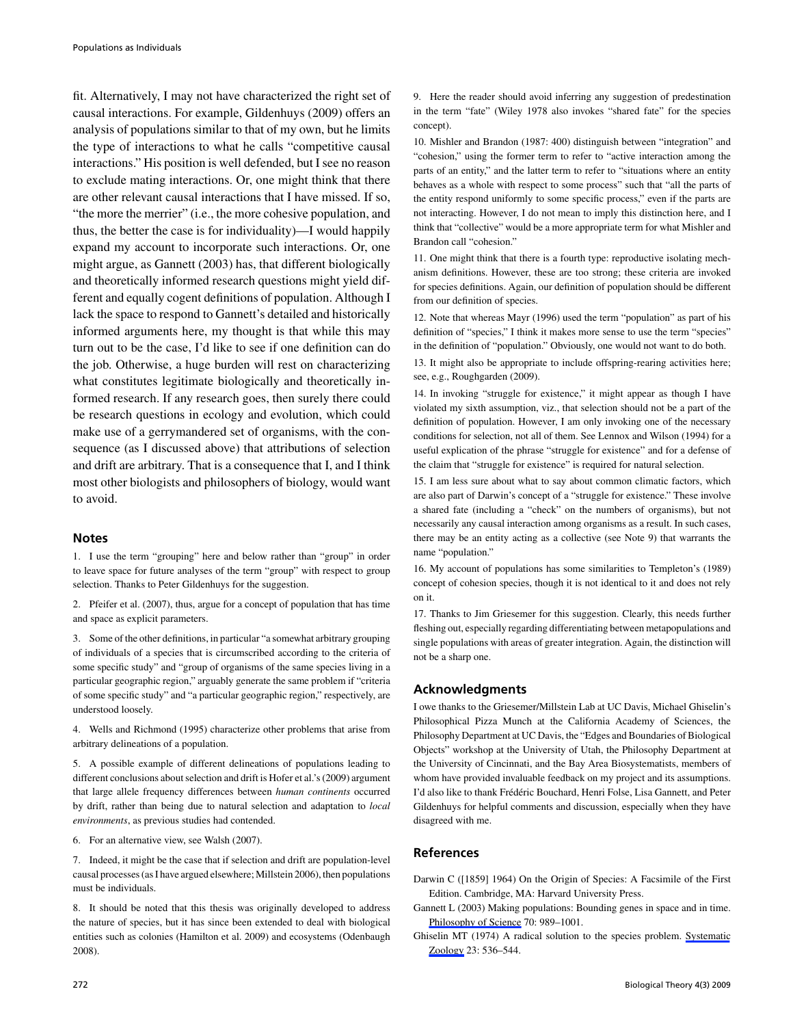fit. Alternatively, I may not have characterized the right set of causal interactions. For example, Gildenhuys (2009) offers an analysis of populations similar to that of my own, but he limits the type of interactions to what he calls "competitive causal interactions." His position is well defended, but I see no reason to exclude mating interactions. Or, one might think that there are other relevant causal interactions that I have missed. If so, "the more the merrier" (i.e., the more cohesive population, and thus, the better the case is for individuality)—I would happily expand my account to incorporate such interactions. Or, one might argue, as Gannett (2003) has, that different biologically and theoretically informed research questions might yield different and equally cogent definitions of population. Although I lack the space to respond to Gannett's detailed and historically informed arguments here, my thought is that while this may turn out to be the case, I'd like to see if one definition can do the job. Otherwise, a huge burden will rest on characterizing what constitutes legitimate biologically and theoretically informed research. If any research goes, then surely there could be research questions in ecology and evolution, which could make use of a gerrymandered set of organisms, with the consequence (as I discussed above) that attributions of selection and drift are arbitrary. That is a consequence that I, and I think most other biologists and philosophers of biology, would want to avoid.

#### **Notes**

1. I use the term "grouping" here and below rather than "group" in order to leave space for future analyses of the term "group" with respect to group selection. Thanks to Peter Gildenhuys for the suggestion.

2. Pfeifer et al. (2007), thus, argue for a concept of population that has time and space as explicit parameters.

3. Some of the other definitions, in particular "a somewhat arbitrary grouping of individuals of a species that is circumscribed according to the criteria of some specific study" and "group of organisms of the same species living in a particular geographic region," arguably generate the same problem if "criteria of some specific study" and "a particular geographic region," respectively, are understood loosely.

4. Wells and Richmond (1995) characterize other problems that arise from arbitrary delineations of a population.

5. A possible example of different delineations of populations leading to different conclusions about selection and drift is Hofer et al.'s (2009) argument that large allele frequency differences between *human continents* occurred by drift, rather than being due to natural selection and adaptation to *local environments*, as previous studies had contended.

6. For an alternative view, see Walsh (2007).

7. Indeed, it might be the case that if selection and drift are population-level causal processes (as I have argued elsewhere; Millstein 2006), then populations must be individuals.

8. It should be noted that this thesis was originally developed to address the nature of species, but it has since been extended to deal with biological entities such as colonies (Hamilton et al. 2009) and ecosystems (Odenbaugh 2008).

9. Here the reader should avoid inferring any suggestion of predestination in the term "fate" (Wiley 1978 also invokes "shared fate" for the species concept).

10. Mishler and Brandon (1987: 400) distinguish between "integration" and "cohesion," using the former term to refer to "active interaction among the parts of an entity," and the latter term to refer to "situations where an entity behaves as a whole with respect to some process" such that "all the parts of the entity respond uniformly to some specific process," even if the parts are not interacting. However, I do not mean to imply this distinction here, and I think that "collective" would be a more appropriate term for what Mishler and Brandon call "cohesion."

11. One might think that there is a fourth type: reproductive isolating mechanism definitions. However, these are too strong; these criteria are invoked for species definitions. Again, our definition of population should be different from our definition of species.

12. Note that whereas Mayr (1996) used the term "population" as part of his definition of "species," I think it makes more sense to use the term "species" in the definition of "population." Obviously, one would not want to do both.

13. It might also be appropriate to include offspring-rearing activities here; see, e.g., Roughgarden (2009).

14. In invoking "struggle for existence," it might appear as though I have violated my sixth assumption, viz., that selection should not be a part of the definition of population. However, I am only invoking one of the necessary conditions for selection, not all of them. See Lennox and Wilson (1994) for a useful explication of the phrase "struggle for existence" and for a defense of the claim that "struggle for existence" is required for natural selection.

15. I am less sure about what to say about common climatic factors, which are also part of Darwin's concept of a "struggle for existence." These involve a shared fate (including a "check" on the numbers of organisms), but not necessarily any causal interaction among organisms as a result. In such cases, there may be an entity acting as a collective (see Note 9) that warrants the name "population."

16. My account of populations has some similarities to Templeton's (1989) concept of cohesion species, though it is not identical to it and does not rely on it.

17. Thanks to Jim Griesemer for this suggestion. Clearly, this needs further fleshing out, especially regarding differentiating between metapopulations and single populations with areas of greater integration. Again, the distinction will not be a sharp one.

### **Acknowledgments**

I owe thanks to the Griesemer/Millstein Lab at UC Davis, Michael Ghiselin's Philosophical Pizza Munch at the California Academy of Sciences, the Philosophy Department at UC Davis, the "Edges and Boundaries of Biological Objects" workshop at the University of Utah, the Philosophy Department at the University of Cincinnati, and the Bay Area Biosystematists, members of whom have provided invaluable feedback on my project and its assumptions. I'd also like to thank Frédéric Bouchard, Henri Folse, Lisa Gannett, and Peter Gildenhuys for helpful comments and discussion, especially when they have disagreed with me.

### **References**

Darwin C ([1859] 1964) On the Origin of Species: A Facsimile of the First Edition. Cambridge, MA: Harvard University Press.

- Gannett L (2003) Making populations: Bounding genes in space and in time. Philosophy of Science 70: 989–1001.
- Ghiselin MT (1974) A radical solution to the species problem. Systematic Zoology 23: 536–544.